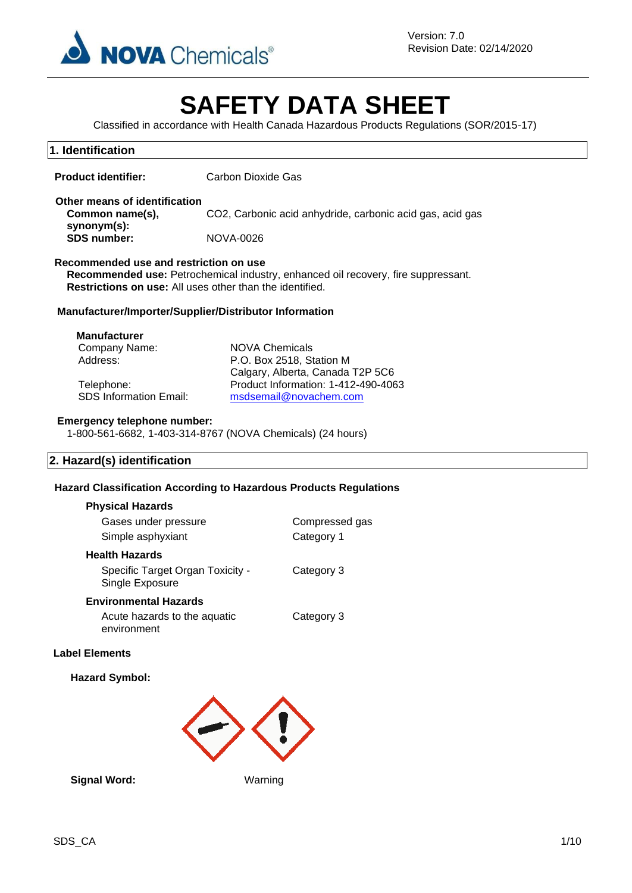

# **SAFETY DATA SHEET**

Classified in accordance with Health Canada Hazardous Products Regulations (SOR/2015-17)

| 1. Identification                                                                                |                                                                                                                                                                                                |                                                                         |  |  |
|--------------------------------------------------------------------------------------------------|------------------------------------------------------------------------------------------------------------------------------------------------------------------------------------------------|-------------------------------------------------------------------------|--|--|
| <b>Product identifier:</b>                                                                       | <b>Carbon Dioxide Gas</b>                                                                                                                                                                      |                                                                         |  |  |
| Other means of identification<br>Common name(s),<br>synonym(s):<br><b>SDS number:</b>            | <b>NOVA-0026</b>                                                                                                                                                                               | CO2, Carbonic acid anhydride, carbonic acid gas, acid gas               |  |  |
|                                                                                                  | Recommended use and restriction on use<br>Recommended use: Petrochemical industry, enhanced oil recovery, fire suppressant.<br><b>Restrictions on use:</b> All uses other than the identified. |                                                                         |  |  |
| Manufacturer/Importer/Supplier/Distributor Information                                           |                                                                                                                                                                                                |                                                                         |  |  |
| <b>Manufacturer</b><br>Company Name:<br>Address:<br>Telephone:<br><b>SDS Information Email:</b>  | <b>NOVA Chemicals</b><br>P.O. Box 2518, Station M<br>msdsemail@novachem.com                                                                                                                    | Calgary, Alberta, Canada T2P 5C6<br>Product Information: 1-412-490-4063 |  |  |
| <b>Emergency telephone number:</b><br>1-800-561-6682, 1-403-314-8767 (NOVA Chemicals) (24 hours) |                                                                                                                                                                                                |                                                                         |  |  |
| 2. Hazard(s) identification                                                                      |                                                                                                                                                                                                |                                                                         |  |  |
| <b>Hazard Classification According to Hazardous Products Regulations</b>                         |                                                                                                                                                                                                |                                                                         |  |  |
| <b>Physical Hazards</b>                                                                          |                                                                                                                                                                                                |                                                                         |  |  |
| Gases under pressure                                                                             |                                                                                                                                                                                                | Compressed gas                                                          |  |  |
| Simple asphyxiant                                                                                |                                                                                                                                                                                                | Category 1                                                              |  |  |
| <b>Health Hazards</b><br>Specific Target Organ Toxicity -<br>Single Exposure                     |                                                                                                                                                                                                | Category 3                                                              |  |  |
| <b>Environmental Hazards</b><br>Acute hazards to the aquatic<br>environment                      |                                                                                                                                                                                                | Category 3                                                              |  |  |
| <b>Label Elements</b>                                                                            |                                                                                                                                                                                                |                                                                         |  |  |
| <b>Hazard Symbol:</b>                                                                            |                                                                                                                                                                                                |                                                                         |  |  |
|                                                                                                  |                                                                                                                                                                                                |                                                                         |  |  |

Signal Word: Warning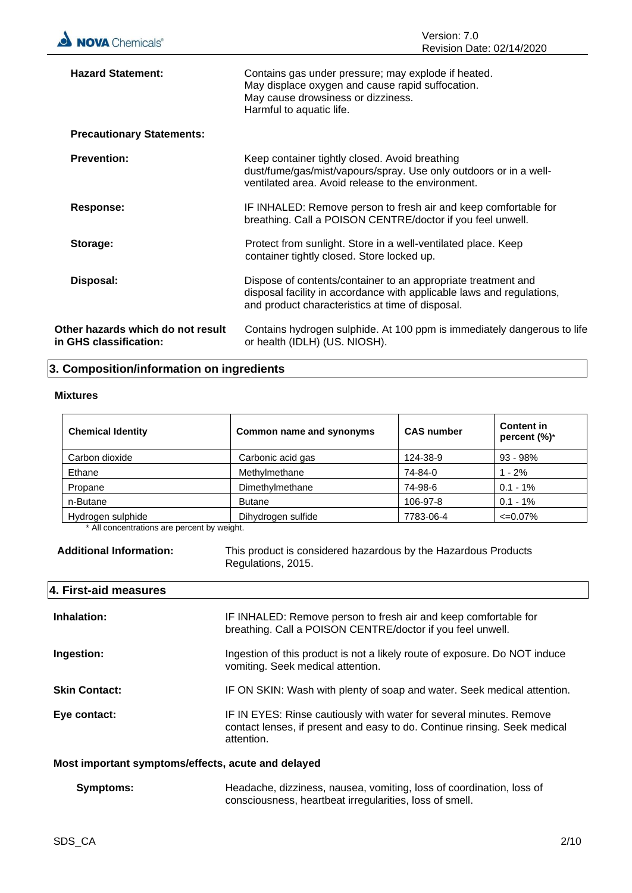| <b>Hazard Statement:</b>                                    | Contains gas under pressure; may explode if heated.<br>May displace oxygen and cause rapid suffocation.<br>May cause drowsiness or dizziness.<br>Harmful to aquatic life.                  |
|-------------------------------------------------------------|--------------------------------------------------------------------------------------------------------------------------------------------------------------------------------------------|
| <b>Precautionary Statements:</b>                            |                                                                                                                                                                                            |
| <b>Prevention:</b>                                          | Keep container tightly closed. Avoid breathing<br>dust/fume/gas/mist/vapours/spray. Use only outdoors or in a well-<br>ventilated area. Avoid release to the environment.                  |
| Response:                                                   | IF INHALED: Remove person to fresh air and keep comfortable for<br>breathing. Call a POISON CENTRE/doctor if you feel unwell.                                                              |
| Storage:                                                    | Protect from sunlight. Store in a well-ventilated place. Keep<br>container tightly closed. Store locked up.                                                                                |
| Disposal:                                                   | Dispose of contents/container to an appropriate treatment and<br>disposal facility in accordance with applicable laws and regulations,<br>and product characteristics at time of disposal. |
| Other hazards which do not result<br>in GHS classification: | Contains hydrogen sulphide. At 100 ppm is immediately dangerous to life<br>or health (IDLH) (US. NIOSH).                                                                                   |

### **3. Composition/information on ingredients**

#### **Mixtures**

| <b>Chemical Identity</b> | Common name and synonyms | <b>CAS number</b> | <b>Content in</b><br>percent (%)* |
|--------------------------|--------------------------|-------------------|-----------------------------------|
| Carbon dioxide           | Carbonic acid gas        | 124-38-9          | $93 - 98%$                        |
| Ethane                   | Methylmethane            | 74-84-0           | $1 - 2%$                          |
| Propane                  | Dimethylmethane          | 74-98-6           | $0.1 - 1\%$                       |
| n-Butane                 | <b>Butane</b>            | 106-97-8          | $0.1 - 1\%$                       |
| Hydrogen sulphide        | Dihydrogen sulfide       | 7783-06-4         | $\leq 0.07\%$                     |

\* All concentrations are percent by weight.

**Additional Information:** This product is considered hazardous by the Hazardous Products Regulations, 2015.

#### **4. First-aid measures**

| Inhalation:          | IF INHALED: Remove person to fresh air and keep comfortable for<br>breathing. Call a POISON CENTRE/doctor if you feel unwell.                                  |
|----------------------|----------------------------------------------------------------------------------------------------------------------------------------------------------------|
| Ingestion:           | Ingestion of this product is not a likely route of exposure. Do NOT induce<br>vomiting. Seek medical attention.                                                |
| <b>Skin Contact:</b> | IF ON SKIN: Wash with plenty of soap and water. Seek medical attention.                                                                                        |
| Eye contact:         | IF IN EYES: Rinse cautiously with water for several minutes. Remove<br>contact lenses, if present and easy to do. Continue rinsing. Seek medical<br>attention. |

#### **Most important symptoms/effects, acute and delayed**

| <b>Symptoms:</b> | Headache, dizziness, nausea, vomiting, loss of coordination, loss of |
|------------------|----------------------------------------------------------------------|
|                  | consciousness, heartbeat irregularities, loss of smell.              |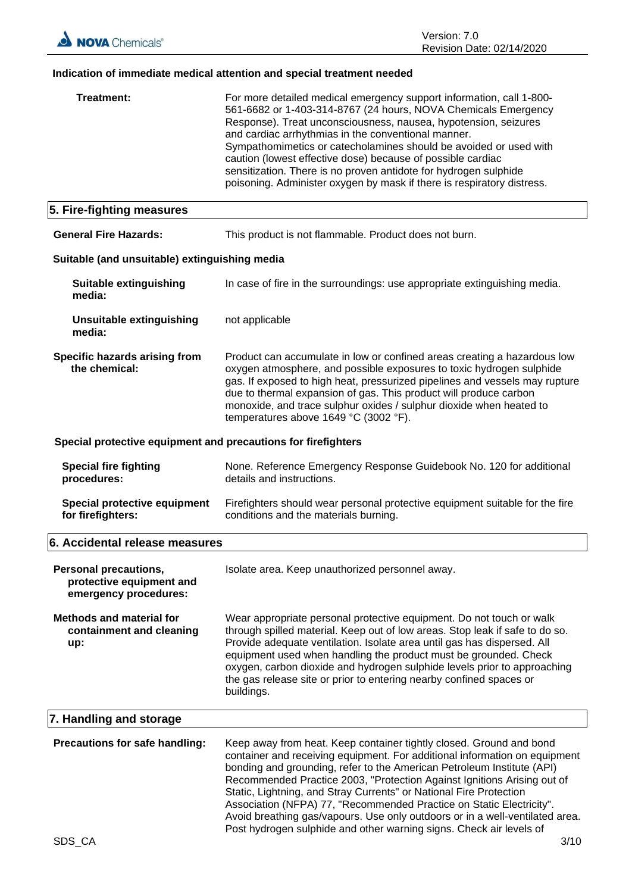### **Indication of immediate medical attention and special treatment needed**

| Treatment:                                                                 | For more detailed medical emergency support information, call 1-800-<br>561-6682 or 1-403-314-8767 (24 hours, NOVA Chemicals Emergency<br>Response). Treat unconsciousness, nausea, hypotension, seizures<br>and cardiac arrhythmias in the conventional manner.<br>Sympathomimetics or catecholamines should be avoided or used with<br>caution (lowest effective dose) because of possible cardiac<br>sensitization. There is no proven antidote for hydrogen sulphide<br>poisoning. Administer oxygen by mask if there is respiratory distress.                                                          |
|----------------------------------------------------------------------------|-------------------------------------------------------------------------------------------------------------------------------------------------------------------------------------------------------------------------------------------------------------------------------------------------------------------------------------------------------------------------------------------------------------------------------------------------------------------------------------------------------------------------------------------------------------------------------------------------------------|
| 5. Fire-fighting measures                                                  |                                                                                                                                                                                                                                                                                                                                                                                                                                                                                                                                                                                                             |
| <b>General Fire Hazards:</b>                                               | This product is not flammable. Product does not burn.                                                                                                                                                                                                                                                                                                                                                                                                                                                                                                                                                       |
| Suitable (and unsuitable) extinguishing media                              |                                                                                                                                                                                                                                                                                                                                                                                                                                                                                                                                                                                                             |
| <b>Suitable extinguishing</b><br>media:                                    | In case of fire in the surroundings: use appropriate extinguishing media.                                                                                                                                                                                                                                                                                                                                                                                                                                                                                                                                   |
| <b>Unsuitable extinguishing</b><br>media:                                  | not applicable                                                                                                                                                                                                                                                                                                                                                                                                                                                                                                                                                                                              |
| Specific hazards arising from<br>the chemical:                             | Product can accumulate in low or confined areas creating a hazardous low<br>oxygen atmosphere, and possible exposures to toxic hydrogen sulphide<br>gas. If exposed to high heat, pressurized pipelines and vessels may rupture<br>due to thermal expansion of gas. This product will produce carbon<br>monoxide, and trace sulphur oxides / sulphur dioxide when heated to<br>temperatures above 1649 °C (3002 °F).                                                                                                                                                                                        |
| Special protective equipment and precautions for firefighters              |                                                                                                                                                                                                                                                                                                                                                                                                                                                                                                                                                                                                             |
| <b>Special fire fighting</b><br>procedures:                                | None. Reference Emergency Response Guidebook No. 120 for additional<br>details and instructions.                                                                                                                                                                                                                                                                                                                                                                                                                                                                                                            |
| <b>Special protective equipment</b><br>for firefighters:                   | Firefighters should wear personal protective equipment suitable for the fire<br>conditions and the materials burning.                                                                                                                                                                                                                                                                                                                                                                                                                                                                                       |
| 6. Accidental release measures                                             |                                                                                                                                                                                                                                                                                                                                                                                                                                                                                                                                                                                                             |
| Personal precautions,<br>protective equipment and<br>emergency procedures: | Isolate area. Keep unauthorized personnel away.                                                                                                                                                                                                                                                                                                                                                                                                                                                                                                                                                             |
| <b>Methods and material for</b><br>containment and cleaning<br>up:         | Wear appropriate personal protective equipment. Do not touch or walk<br>through spilled material. Keep out of low areas. Stop leak if safe to do so.<br>Provide adequate ventilation. Isolate area until gas has dispersed. All<br>equipment used when handling the product must be grounded. Check<br>oxygen, carbon dioxide and hydrogen sulphide levels prior to approaching<br>the gas release site or prior to entering nearby confined spaces or<br>buildings.                                                                                                                                        |
| 7. Handling and storage                                                    |                                                                                                                                                                                                                                                                                                                                                                                                                                                                                                                                                                                                             |
| Precautions for safe handling:                                             | Keep away from heat. Keep container tightly closed. Ground and bond<br>container and receiving equipment. For additional information on equipment<br>bonding and grounding, refer to the American Petroleum Institute (API)<br>Recommended Practice 2003, "Protection Against Ignitions Arising out of<br>Static, Lightning, and Stray Currents" or National Fire Protection<br>Association (NFPA) 77, "Recommended Practice on Static Electricity".<br>Avoid breathing gas/vapours. Use only outdoors or in a well-ventilated area.<br>Post hydrogen sulphide and other warning signs. Check air levels of |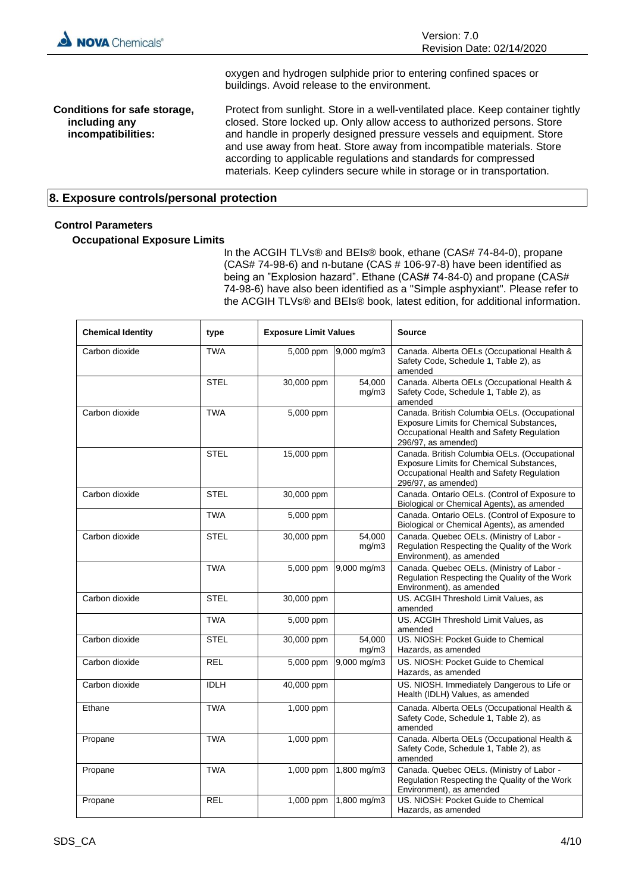

oxygen and hydrogen sulphide prior to entering confined spaces or buildings. Avoid release to the environment.

**Conditions for safe storage, including any incompatibilities:** Protect from sunlight. Store in a well-ventilated place. Keep container tightly closed. Store locked up. Only allow access to authorized persons. Store and handle in properly designed pressure vessels and equipment. Store and use away from heat. Store away from incompatible materials. Store according to applicable regulations and standards for compressed materials. Keep cylinders secure while in storage or in transportation.

#### **8. Exposure controls/personal protection**

#### **Control Parameters**

#### **Occupational Exposure Limits**

In the ACGIH TLVs® and BEIs® book, ethane (CAS# 74-84-0), propane (CAS# 74-98-6) and n-butane (CAS # 106-97-8) have been identified as being an "Explosion hazard". Ethane (CAS# 74-84-0) and propane (CAS# 74-98-6) have also been identified as a "Simple asphyxiant". Please refer to the ACGIH TLVs® and BEIs® book, latest edition, for additional information.

| <b>Chemical Identity</b> | type        | <b>Exposure Limit Values</b> |                 | <b>Source</b>                                                                                                                                                |
|--------------------------|-------------|------------------------------|-----------------|--------------------------------------------------------------------------------------------------------------------------------------------------------------|
| Carbon dioxide           | <b>TWA</b>  | 5,000 ppm                    | 9,000 mg/m3     | Canada. Alberta OELs (Occupational Health &<br>Safety Code, Schedule 1, Table 2), as<br>amended                                                              |
|                          | <b>STEL</b> | 30,000 ppm                   | 54.000<br>mg/m3 | Canada. Alberta OELs (Occupational Health &<br>Safety Code, Schedule 1, Table 2), as<br>amended                                                              |
| Carbon dioxide           | <b>TWA</b>  | 5,000 ppm                    |                 | Canada. British Columbia OELs. (Occupational<br>Exposure Limits for Chemical Substances,<br>Occupational Health and Safety Regulation<br>296/97, as amended) |
|                          | <b>STEL</b> | 15,000 ppm                   |                 | Canada. British Columbia OELs. (Occupational<br>Exposure Limits for Chemical Substances,<br>Occupational Health and Safety Regulation<br>296/97, as amended) |
| Carbon dioxide           | <b>STEL</b> | 30,000 ppm                   |                 | Canada. Ontario OELs. (Control of Exposure to<br>Biological or Chemical Agents), as amended                                                                  |
|                          | <b>TWA</b>  | 5,000 ppm                    |                 | Canada. Ontario OELs. (Control of Exposure to<br>Biological or Chemical Agents), as amended                                                                  |
| Carbon dioxide           | <b>STEL</b> | 30,000 ppm                   | 54,000<br>mg/m3 | Canada. Quebec OELs. (Ministry of Labor -<br>Regulation Respecting the Quality of the Work<br>Environment), as amended                                       |
|                          | <b>TWA</b>  | 5,000 ppm                    | 9,000 mg/m3     | Canada. Quebec OELs. (Ministry of Labor -<br>Regulation Respecting the Quality of the Work<br>Environment), as amended                                       |
| Carbon dioxide           | <b>STEL</b> | 30,000 ppm                   |                 | US. ACGIH Threshold Limit Values, as<br>amended                                                                                                              |
|                          | <b>TWA</b>  | 5,000 ppm                    |                 | US. ACGIH Threshold Limit Values, as<br>amended                                                                                                              |
| Carbon dioxide           | <b>STEL</b> | 30,000 ppm                   | 54,000<br>mg/m3 | US. NIOSH: Pocket Guide to Chemical<br>Hazards, as amended                                                                                                   |
| Carbon dioxide           | <b>REL</b>  | 5,000 ppm                    | 9,000 mg/m3     | US. NIOSH: Pocket Guide to Chemical<br>Hazards, as amended                                                                                                   |
| Carbon dioxide           | <b>IDLH</b> | 40,000 ppm                   |                 | US. NIOSH. Immediately Dangerous to Life or<br>Health (IDLH) Values, as amended                                                                              |
| Ethane                   | <b>TWA</b>  | 1,000 ppm                    |                 | Canada. Alberta OELs (Occupational Health &<br>Safety Code, Schedule 1, Table 2), as<br>amended                                                              |
| Propane                  | <b>TWA</b>  | 1,000 ppm                    |                 | Canada. Alberta OELs (Occupational Health &<br>Safety Code, Schedule 1, Table 2), as<br>amended                                                              |
| Propane                  | <b>TWA</b>  | 1,000 ppm                    | 1,800 mg/m3     | Canada. Quebec OELs. (Ministry of Labor -<br>Regulation Respecting the Quality of the Work<br>Environment), as amended                                       |
| Propane                  | <b>REL</b>  | 1,000 ppm                    | 1,800 mg/m3     | US. NIOSH: Pocket Guide to Chemical<br>Hazards, as amended                                                                                                   |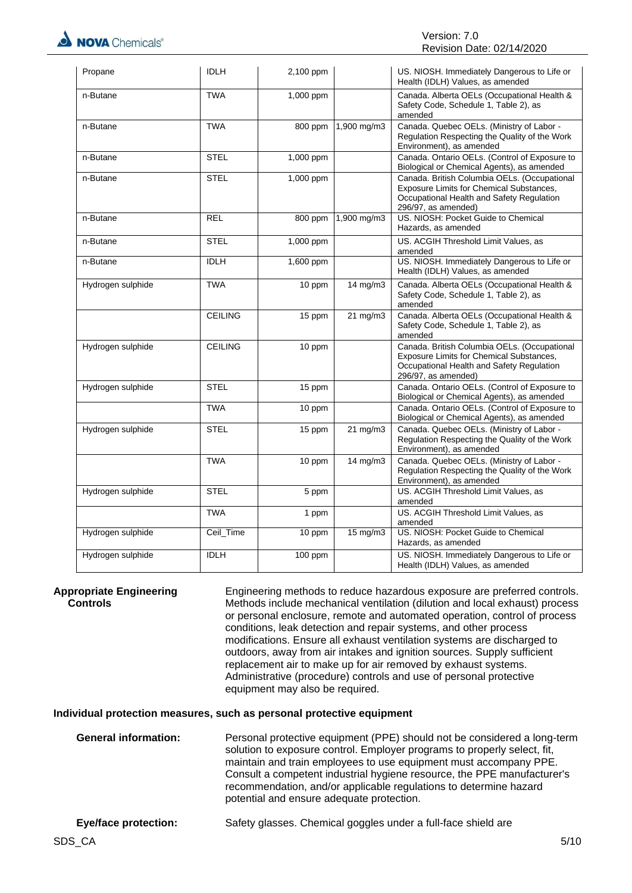| Propane           | <b>IDLH</b>    | 2,100 ppm |             | US. NIOSH. Immediately Dangerous to Life or<br>Health (IDLH) Values, as amended                                                                              |
|-------------------|----------------|-----------|-------------|--------------------------------------------------------------------------------------------------------------------------------------------------------------|
| n-Butane          | <b>TWA</b>     | 1,000 ppm |             | Canada. Alberta OELs (Occupational Health &<br>Safety Code, Schedule 1, Table 2), as<br>amended                                                              |
| n-Butane          | <b>TWA</b>     | 800 ppm   | 1,900 mg/m3 | Canada. Quebec OELs. (Ministry of Labor -<br>Regulation Respecting the Quality of the Work<br>Environment), as amended                                       |
| n-Butane          | <b>STEL</b>    | 1,000 ppm |             | Canada. Ontario OELs. (Control of Exposure to<br>Biological or Chemical Agents), as amended                                                                  |
| n-Butane          | <b>STEL</b>    | 1,000 ppm |             | Canada. British Columbia OELs. (Occupational<br>Exposure Limits for Chemical Substances,<br>Occupational Health and Safety Regulation<br>296/97, as amended) |
| n-Butane          | <b>REL</b>     | 800 ppm   | 1,900 mg/m3 | US. NIOSH: Pocket Guide to Chemical<br>Hazards, as amended                                                                                                   |
| n-Butane          | <b>STEL</b>    | 1,000 ppm |             | US. ACGIH Threshold Limit Values, as<br>amended                                                                                                              |
| n-Butane          | <b>IDLH</b>    | 1,600 ppm |             | US. NIOSH. Immediately Dangerous to Life or<br>Health (IDLH) Values, as amended                                                                              |
| Hydrogen sulphide | <b>TWA</b>     | 10 ppm    | 14 mg/m3    | Canada. Alberta OELs (Occupational Health &<br>Safety Code, Schedule 1, Table 2), as<br>amended                                                              |
|                   | <b>CEILING</b> | 15 ppm    | 21 mg/m3    | Canada. Alberta OELs (Occupational Health &<br>Safety Code, Schedule 1, Table 2), as<br>amended                                                              |
| Hydrogen sulphide | <b>CEILING</b> | 10 ppm    |             | Canada. British Columbia OELs. (Occupational<br>Exposure Limits for Chemical Substances,<br>Occupational Health and Safety Regulation<br>296/97, as amended) |
| Hydrogen sulphide | <b>STEL</b>    | 15 ppm    |             | Canada. Ontario OELs. (Control of Exposure to<br>Biological or Chemical Agents), as amended                                                                  |
|                   | <b>TWA</b>     | 10 ppm    |             | Canada. Ontario OELs. (Control of Exposure to<br>Biological or Chemical Agents), as amended                                                                  |
| Hydrogen sulphide | <b>STEL</b>    | 15 ppm    | 21 mg/m3    | Canada. Quebec OELs. (Ministry of Labor -<br>Regulation Respecting the Quality of the Work<br>Environment), as amended                                       |
|                   | <b>TWA</b>     | 10 ppm    | 14 mg/m3    | Canada. Quebec OELs. (Ministry of Labor -<br>Regulation Respecting the Quality of the Work<br>Environment), as amended                                       |
| Hydrogen sulphide | <b>STEL</b>    | 5 ppm     |             | US. ACGIH Threshold Limit Values, as<br>amended                                                                                                              |
|                   | <b>TWA</b>     | 1 ppm     |             | US. ACGIH Threshold Limit Values, as<br>amended                                                                                                              |
| Hydrogen sulphide | Ceil_Time      | 10 ppm    | 15 mg/m3    | US. NIOSH: Pocket Guide to Chemical<br>Hazards, as amended                                                                                                   |
| Hydrogen sulphide | <b>IDLH</b>    | $100$ ppm |             | US. NIOSH. Immediately Dangerous to Life or<br>Health (IDLH) Values, as amended                                                                              |

**Appropriate Engineering Controls**

Engineering methods to reduce hazardous exposure are preferred controls. Methods include mechanical ventilation (dilution and local exhaust) process or personal enclosure, remote and automated operation, control of process conditions, leak detection and repair systems, and other process modifications. Ensure all exhaust ventilation systems are discharged to outdoors, away from air intakes and ignition sources. Supply sufficient replacement air to make up for air removed by exhaust systems. Administrative (procedure) controls and use of personal protective equipment may also be required.

#### **Individual protection measures, such as personal protective equipment**

| <b>General information:</b> | Personal protective equipment (PPE) should not be considered a long-term<br>solution to exposure control. Employer programs to properly select, fit,<br>maintain and train employees to use equipment must accompany PPE.<br>Consult a competent industrial hygiene resource, the PPE manufacturer's<br>recommendation, and/or applicable regulations to determine hazard<br>potential and ensure adequate protection. |
|-----------------------------|------------------------------------------------------------------------------------------------------------------------------------------------------------------------------------------------------------------------------------------------------------------------------------------------------------------------------------------------------------------------------------------------------------------------|
| <b>Eye/face protection:</b> | Safety glasses. Chemical goggles under a full-face shield are                                                                                                                                                                                                                                                                                                                                                          |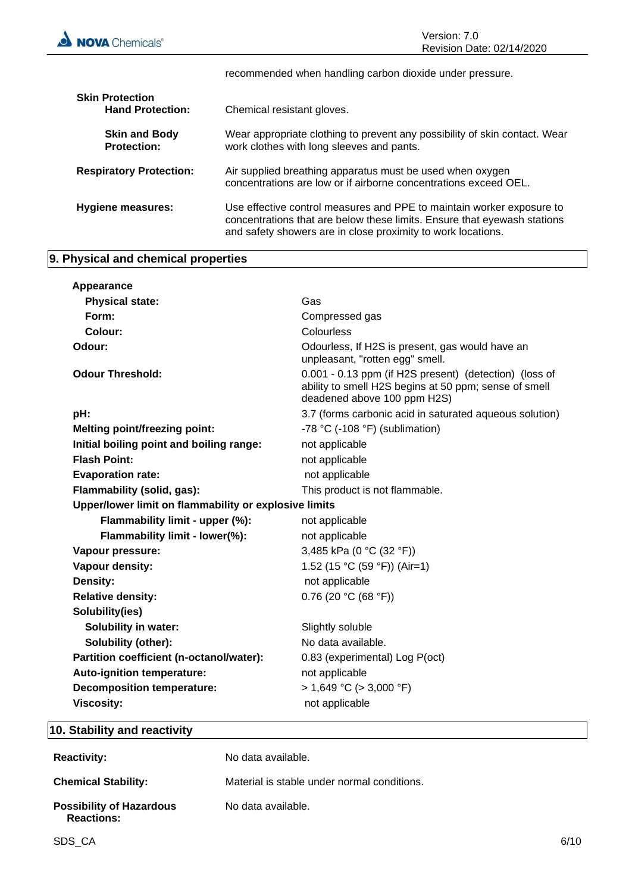recommended when handling carbon dioxide under pressure. **Skin Protection<br>Hand Protection:** Chemical resistant gloves. **Skin and Body Protection:** Wear appropriate clothing to prevent any possibility of skin contact. Wear work clothes with long sleeves and pants. **Respiratory Protection:** Air supplied breathing apparatus must be used when oxygen concentrations are low or if airborne concentrations exceed OEL. **Hygiene measures:** Use effective control measures and PPE to maintain worker exposure to concentrations that are below these limits. Ensure that eyewash stations and safety showers are in close proximity to work locations.

#### **9. Physical and chemical properties**

| Appearance                                            |                                                                                                                                                |  |  |
|-------------------------------------------------------|------------------------------------------------------------------------------------------------------------------------------------------------|--|--|
| <b>Physical state:</b>                                | Gas                                                                                                                                            |  |  |
| Form:                                                 | Compressed gas                                                                                                                                 |  |  |
| Colour:                                               | Colourless                                                                                                                                     |  |  |
| Odour:                                                | Odourless, If H2S is present, gas would have an<br>unpleasant, "rotten egg" smell.                                                             |  |  |
| <b>Odour Threshold:</b>                               | 0.001 - 0.13 ppm (if H2S present) (detection) (loss of<br>ability to smell H2S begins at 50 ppm; sense of smell<br>deadened above 100 ppm H2S) |  |  |
| pH:                                                   | 3.7 (forms carbonic acid in saturated aqueous solution)                                                                                        |  |  |
| <b>Melting point/freezing point:</b>                  | -78 °C (-108 °F) (sublimation)                                                                                                                 |  |  |
| Initial boiling point and boiling range:              | not applicable                                                                                                                                 |  |  |
| <b>Flash Point:</b>                                   | not applicable                                                                                                                                 |  |  |
| <b>Evaporation rate:</b>                              | not applicable                                                                                                                                 |  |  |
| Flammability (solid, gas):                            | This product is not flammable.                                                                                                                 |  |  |
| Upper/lower limit on flammability or explosive limits |                                                                                                                                                |  |  |
| Flammability limit - upper (%):                       | not applicable                                                                                                                                 |  |  |
| Flammability limit - lower(%):                        | not applicable                                                                                                                                 |  |  |
| Vapour pressure:                                      | 3,485 kPa (0 °C (32 °F))                                                                                                                       |  |  |
| Vapour density:                                       | 1.52 (15 °C (59 °F)) (Air=1)                                                                                                                   |  |  |
| Density:                                              | not applicable                                                                                                                                 |  |  |
| <b>Relative density:</b>                              | $0.76$ (20 °C (68 °F))                                                                                                                         |  |  |
| Solubility(ies)                                       |                                                                                                                                                |  |  |
| <b>Solubility in water:</b>                           | Slightly soluble                                                                                                                               |  |  |
| Solubility (other):                                   | No data available.                                                                                                                             |  |  |
| Partition coefficient (n-octanol/water):              | 0.83 (experimental) Log P(oct)                                                                                                                 |  |  |
| Auto-ignition temperature:                            | not applicable                                                                                                                                 |  |  |
|                                                       |                                                                                                                                                |  |  |
| <b>Decomposition temperature:</b>                     | $> 1,649$ °C ( $> 3,000$ °F)                                                                                                                   |  |  |

#### **10. Stability and reactivity**

| <b>Reactivity:</b>                                   | No data available.                          |
|------------------------------------------------------|---------------------------------------------|
| <b>Chemical Stability:</b>                           | Material is stable under normal conditions. |
| <b>Possibility of Hazardous</b><br><b>Reactions:</b> | No data available.                          |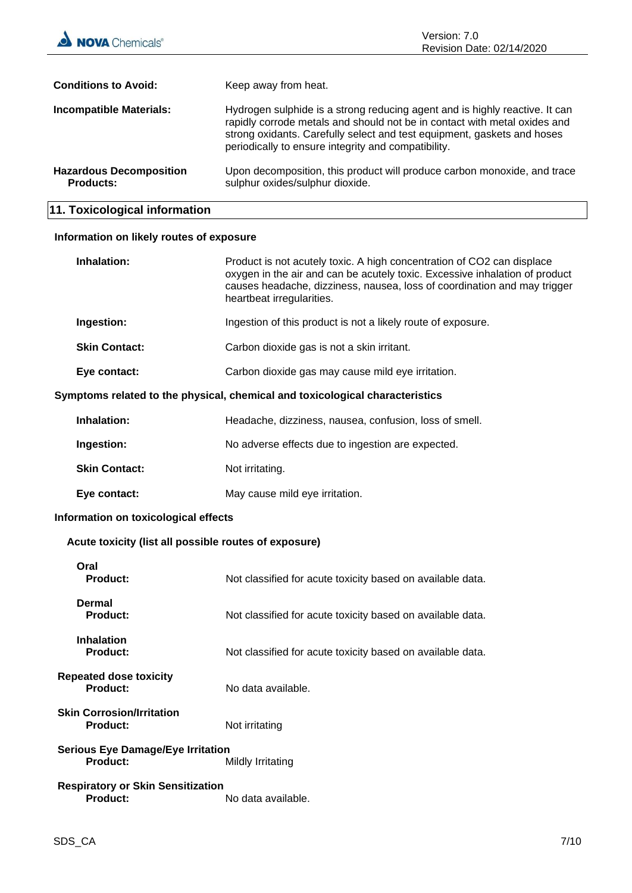| <b>NOVA</b> Chemicals®                             | Version: 7.0<br>Revision Date: 02/14/2020                                                                                                                                                                                                                                                  |
|----------------------------------------------------|--------------------------------------------------------------------------------------------------------------------------------------------------------------------------------------------------------------------------------------------------------------------------------------------|
| <b>Conditions to Avoid:</b>                        | Keep away from heat.                                                                                                                                                                                                                                                                       |
| <b>Incompatible Materials:</b>                     | Hydrogen sulphide is a strong reducing agent and is highly reactive. It can<br>rapidly corrode metals and should not be in contact with metal oxides and<br>strong oxidants. Carefully select and test equipment, gaskets and hoses<br>periodically to ensure integrity and compatibility. |
| <b>Hazardous Decomposition</b><br><b>Products:</b> | Upon decomposition, this product will produce carbon monoxide, and trace<br>sulphur oxides/sulphur dioxide.                                                                                                                                                                                |

## **11. Toxicological information**

#### **Information on likely routes of exposure**

| Inhalation:                                                                  | Product is not acutely toxic. A high concentration of CO2 can displace<br>oxygen in the air and can be acutely toxic. Excessive inhalation of product<br>causes headache, dizziness, nausea, loss of coordination and may trigger<br>heartbeat irregularities. |  |
|------------------------------------------------------------------------------|----------------------------------------------------------------------------------------------------------------------------------------------------------------------------------------------------------------------------------------------------------------|--|
| Ingestion:                                                                   | Ingestion of this product is not a likely route of exposure.                                                                                                                                                                                                   |  |
| <b>Skin Contact:</b>                                                         | Carbon dioxide gas is not a skin irritant.                                                                                                                                                                                                                     |  |
| Eye contact:                                                                 | Carbon dioxide gas may cause mild eye irritation.                                                                                                                                                                                                              |  |
| Symptoms related to the physical, chemical and toxicological characteristics |                                                                                                                                                                                                                                                                |  |
| Inhalation:                                                                  | Headache, dizziness, nausea, confusion, loss of smell.                                                                                                                                                                                                         |  |
| Ingestion:                                                                   | No adverse effects due to ingestion are expected.                                                                                                                                                                                                              |  |
| <b>Skin Contact:</b>                                                         | Not irritating.                                                                                                                                                                                                                                                |  |
| Eye contact:                                                                 | May cause mild eye irritation.                                                                                                                                                                                                                                 |  |
| Information on toxicological effects                                         |                                                                                                                                                                                                                                                                |  |
| Acute toxicity (list all possible routes of exposure)                        |                                                                                                                                                                                                                                                                |  |
| Oral<br>Product:                                                             | Not classified for acute toxicity based on available data.                                                                                                                                                                                                     |  |
| Dermal<br>Product:                                                           | Not classified for acute toxicity based on available data.                                                                                                                                                                                                     |  |
| <b>Inhalation</b><br>Product:                                                | Not classified for acute toxicity based on available data.                                                                                                                                                                                                     |  |
| <b>Repeated dose toxicity</b><br>Product:                                    | No data available.                                                                                                                                                                                                                                             |  |
| <b>Skin Corrosion/Irritation</b><br><b>Product:</b>                          | Not irritating                                                                                                                                                                                                                                                 |  |
| Serious Eve Damage/Eve Irritation                                            |                                                                                                                                                                                                                                                                |  |

**Serious Eye Damage/Eye Irritation Mildly Irritating** 

**Respiratory or Skin Sensitization Product:** No data available.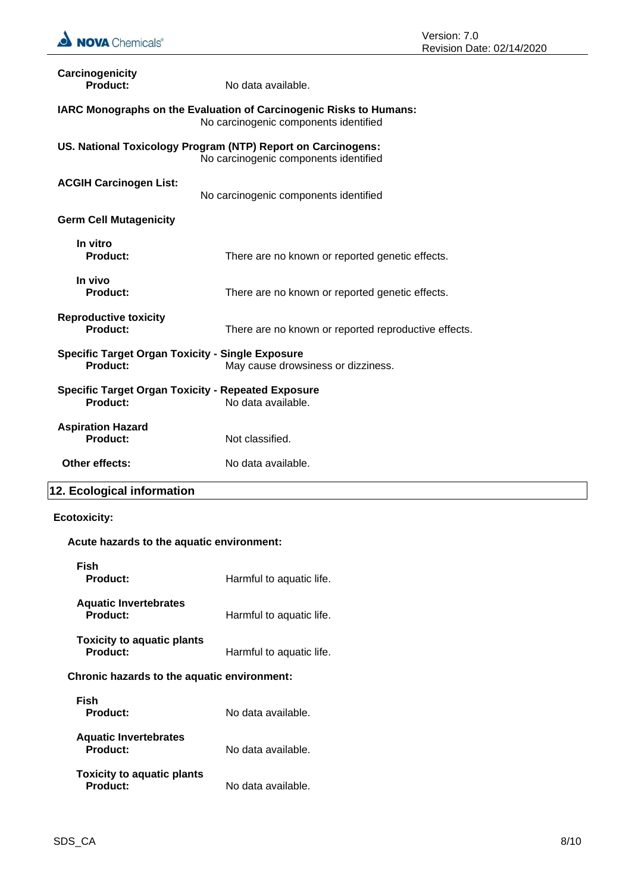

| Carcinogenicity<br>Product:                                         | No data available.                                                                                          |
|---------------------------------------------------------------------|-------------------------------------------------------------------------------------------------------------|
|                                                                     | IARC Monographs on the Evaluation of Carcinogenic Risks to Humans:<br>No carcinogenic components identified |
|                                                                     | US. National Toxicology Program (NTP) Report on Carcinogens:<br>No carcinogenic components identified       |
| <b>ACGIH Carcinogen List:</b>                                       | No carcinogenic components identified                                                                       |
| <b>Germ Cell Mutagenicity</b>                                       |                                                                                                             |
| In vitro<br>Product:                                                | There are no known or reported genetic effects.                                                             |
| In vivo<br><b>Product:</b>                                          | There are no known or reported genetic effects.                                                             |
| <b>Reproductive toxicity</b><br>Product:                            | There are no known or reported reproductive effects.                                                        |
| <b>Specific Target Organ Toxicity - Single Exposure</b><br>Product: | May cause drowsiness or dizziness.                                                                          |
| Product:                                                            | <b>Specific Target Organ Toxicity - Repeated Exposure</b><br>No data available.                             |
| <b>Aspiration Hazard</b><br>Product:                                | Not classified.                                                                                             |
| Other effects:                                                      | No data available.                                                                                          |
| 12. Ecological information                                          |                                                                                                             |

#### **Ecotoxicity:**

### **Acute hazards to the aquatic environment:**

| Fish<br><b>Product:</b>                              | Harmful to aquatic life. |
|------------------------------------------------------|--------------------------|
| <b>Aquatic Invertebrates</b><br>Product:             | Harmful to aquatic life. |
| <b>Toxicity to aquatic plants</b><br>Product:        | Harmful to aquatic life. |
| Chronic hazards to the aquatic environment:          |                          |
| Fish<br>Product:                                     | No data available.       |
| <b>Aquatic Invertebrates</b><br><b>Product:</b>      | No data available.       |
| <b>Toxicity to aquatic plants</b><br><b>Product:</b> | No data available.       |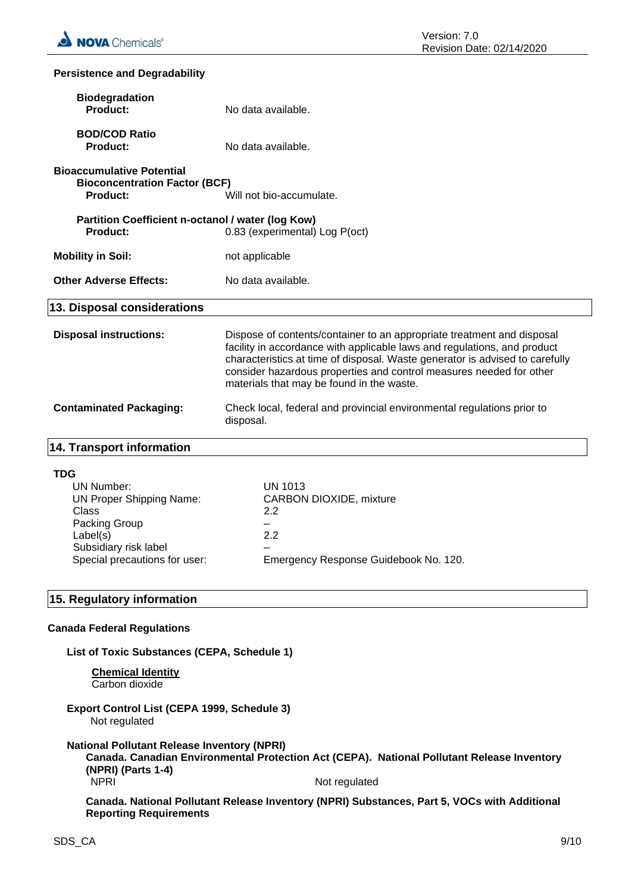#### **Persistence and Degradability**

| <b>Biodegradation</b><br>Product:                                                                                                                                  | No data available.                                                                                                                                                                                                                                                                                                                                     |  |
|--------------------------------------------------------------------------------------------------------------------------------------------------------------------|--------------------------------------------------------------------------------------------------------------------------------------------------------------------------------------------------------------------------------------------------------------------------------------------------------------------------------------------------------|--|
| <b>BOD/COD Ratio</b><br><b>Product:</b>                                                                                                                            | No data available.                                                                                                                                                                                                                                                                                                                                     |  |
| <b>Bioaccumulative Potential</b><br><b>Bioconcentration Factor (BCF)</b><br><b>Product:</b>                                                                        | Will not bio-accumulate.                                                                                                                                                                                                                                                                                                                               |  |
| Partition Coefficient n-octanol / water (log Kow)<br>0.83 (experimental) Log P(oct)<br><b>Product:</b>                                                             |                                                                                                                                                                                                                                                                                                                                                        |  |
| <b>Mobility in Soil:</b>                                                                                                                                           | not applicable                                                                                                                                                                                                                                                                                                                                         |  |
| <b>Other Adverse Effects:</b>                                                                                                                                      | No data available.                                                                                                                                                                                                                                                                                                                                     |  |
| 13. Disposal considerations                                                                                                                                        |                                                                                                                                                                                                                                                                                                                                                        |  |
| <b>Disposal instructions:</b>                                                                                                                                      | Dispose of contents/container to an appropriate treatment and disposal<br>facility in accordance with applicable laws and regulations, and product<br>characteristics at time of disposal. Waste generator is advised to carefully<br>consider hazardous properties and control measures needed for other<br>materials that may be found in the waste. |  |
| <b>Contaminated Packaging:</b>                                                                                                                                     | Check local, federal and provincial environmental regulations prior to<br>disposal.                                                                                                                                                                                                                                                                    |  |
| 14. Transport information                                                                                                                                          |                                                                                                                                                                                                                                                                                                                                                        |  |
| <b>TDG</b><br><b>UN Number:</b><br><b>UN Proper Shipping Name:</b><br>Class<br>Packing Group<br>Label(s)<br>Subsidiary risk label<br>Special precautions for user: | <b>UN 1013</b><br>CARBON DIOXIDE, mixture<br>2.2<br>2.2<br>Emergency Response Guidebook No. 120.                                                                                                                                                                                                                                                       |  |
| 15. Regulatory information                                                                                                                                         |                                                                                                                                                                                                                                                                                                                                                        |  |
| <b>Canada Federal Regulations</b>                                                                                                                                  |                                                                                                                                                                                                                                                                                                                                                        |  |
| List of Toxic Substances (CEPA, Schedule 1)                                                                                                                        |                                                                                                                                                                                                                                                                                                                                                        |  |
| <b>Chemical Identity</b><br>Carbon dioxide                                                                                                                         |                                                                                                                                                                                                                                                                                                                                                        |  |
| <b>Export Control List (CEPA 1999, Schedule 3)</b><br>Not regulated                                                                                                |                                                                                                                                                                                                                                                                                                                                                        |  |
| <b>National Pollutant Release Inventory (NPRI)</b><br>(NPRI) (Parts 1-4)                                                                                           | Canada. Canadian Environmental Protection Act (CEPA). National Pollutant Release Inventory                                                                                                                                                                                                                                                             |  |

NPRI Not regulated

**Canada. National Pollutant Release Inventory (NPRI) Substances, Part 5, VOCs with Additional Reporting Requirements**